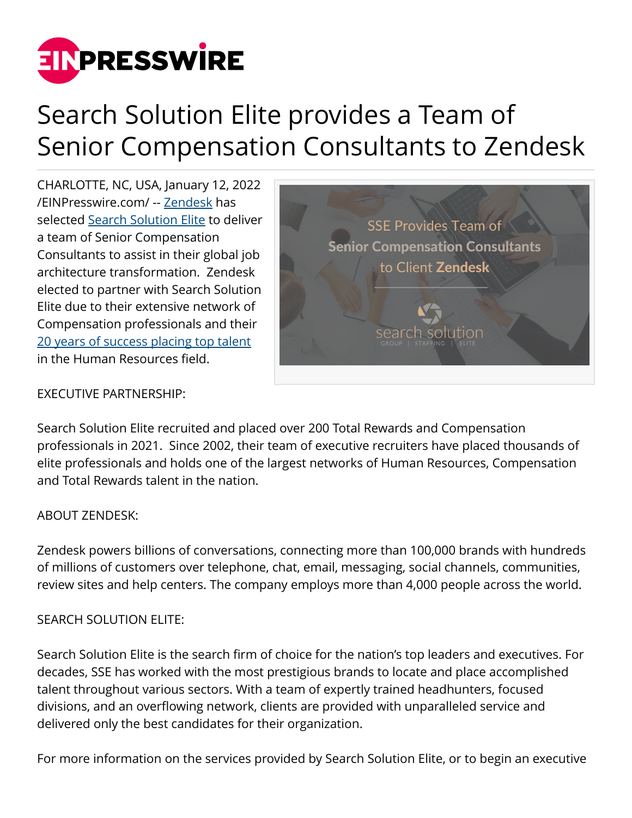

## Search Solution Elite provides a Team of Senior Compensation Consultants to Zendesk

CHARLOTTE, NC, USA, January 12, 2022 [/EINPresswire.com/](http://www.einpresswire.com) -- [Zendesk](https://www.zendesk.com/) has selected [Search Solution Elite](https://searchsolutionelite.com/) to deliver a team of Senior Compensation Consultants to assist in their global job architecture transformation. Zendesk elected to partner with Search Solution Elite due to their extensive network of Compensation professionals and their [20 years of success placing top talent](https://searchsolutionelite.com/clients/) in the Human Resources field.



## EXECUTIVE PARTNERSHIP:

Search Solution Elite recruited and placed over 200 Total Rewards and Compensation professionals in 2021. Since 2002, their team of executive recruiters have placed thousands of elite professionals and holds one of the largest networks of Human Resources, Compensation and Total Rewards talent in the nation.

## ABOUT ZENDESK:

Zendesk powers billions of conversations, connecting more than 100,000 brands with hundreds of millions of customers over telephone, chat, email, messaging, social channels, communities, review sites and help centers. The company employs more than 4,000 people across the world.

## SEARCH SOLUTION ELITE:

Search Solution Elite is the search firm of choice for the nation's top leaders and executives. For decades, SSE has worked with the most prestigious brands to locate and place accomplished talent throughout various sectors. With a team of expertly trained headhunters, focused divisions, and an overflowing network, clients are provided with unparalleled service and delivered only the best candidates for their organization.

For more information on the services provided by Search Solution Elite, or to begin an executive